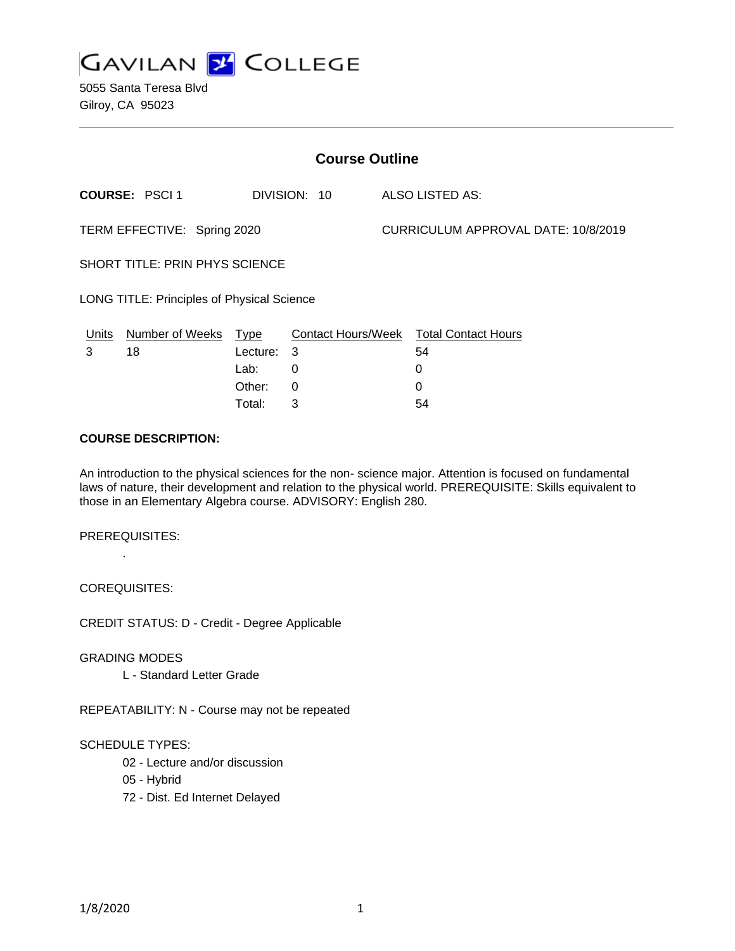

5055 Santa Teresa Blvd Gilroy, CA 95023

| <b>Course Outline</b>                             |                      |          |              |                                     |                                        |
|---------------------------------------------------|----------------------|----------|--------------|-------------------------------------|----------------------------------------|
|                                                   | <b>COURSE: PSCI1</b> |          | DIVISION: 10 |                                     | ALSO LISTED AS:                        |
| TERM EFFECTIVE: Spring 2020                       |                      |          |              | CURRICULUM APPROVAL DATE: 10/8/2019 |                                        |
| <b>SHORT TITLE: PRIN PHYS SCIENCE</b>             |                      |          |              |                                     |                                        |
| <b>LONG TITLE: Principles of Physical Science</b> |                      |          |              |                                     |                                        |
| Units                                             | Number of Weeks      | Type     |              |                                     | Contact Hours/Week Total Contact Hours |
| 3                                                 | 18                   | Lecture: | 3            |                                     | 54                                     |
|                                                   |                      | Lab:     | 0            |                                     | 0                                      |
|                                                   |                      | Other:   | 0            |                                     | 0                                      |

#### **COURSE DESCRIPTION:**

An introduction to the physical sciences for the non- science major. Attention is focused on fundamental laws of nature, their development and relation to the physical world. PREREQUISITE: Skills equivalent to those in an Elementary Algebra course. ADVISORY: English 280.

Total: 3 54

PREREQUISITES: .

COREQUISITES:

CREDIT STATUS: D - Credit - Degree Applicable

GRADING MODES

L - Standard Letter Grade

REPEATABILITY: N - Course may not be repeated

### SCHEDULE TYPES:

- 02 Lecture and/or discussion
- 05 Hybrid
- 72 Dist. Ed Internet Delayed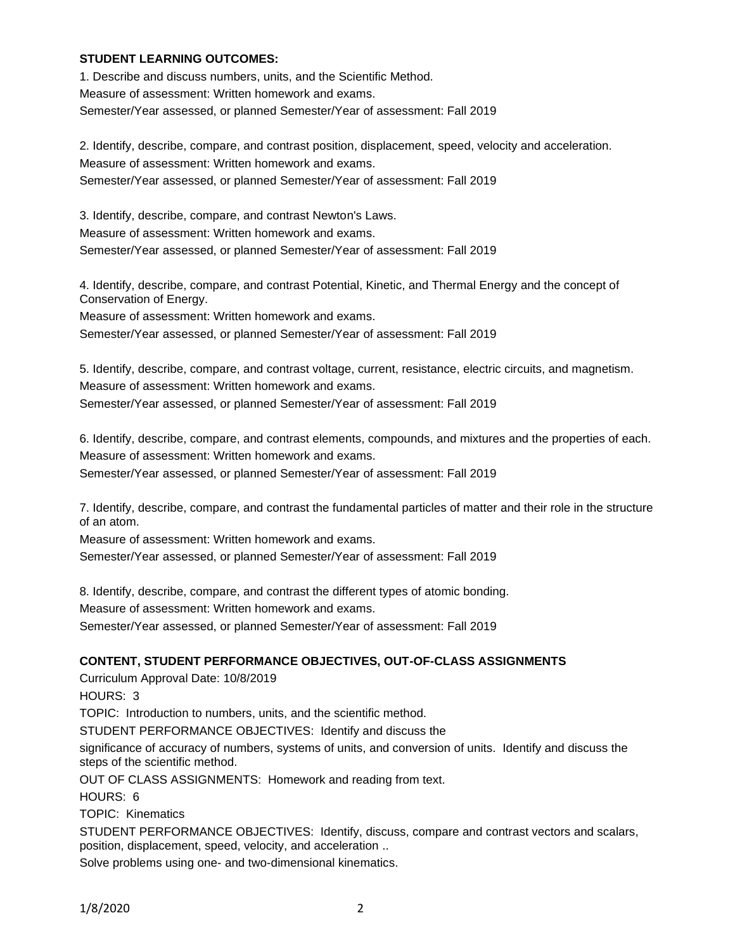#### **STUDENT LEARNING OUTCOMES:**

1. Describe and discuss numbers, units, and the Scientific Method. Measure of assessment: Written homework and exams. Semester/Year assessed, or planned Semester/Year of assessment: Fall 2019

2. Identify, describe, compare, and contrast position, displacement, speed, velocity and acceleration. Measure of assessment: Written homework and exams. Semester/Year assessed, or planned Semester/Year of assessment: Fall 2019

3. Identify, describe, compare, and contrast Newton's Laws. Measure of assessment: Written homework and exams. Semester/Year assessed, or planned Semester/Year of assessment: Fall 2019

4. Identify, describe, compare, and contrast Potential, Kinetic, and Thermal Energy and the concept of Conservation of Energy.

Measure of assessment: Written homework and exams.

Semester/Year assessed, or planned Semester/Year of assessment: Fall 2019

5. Identify, describe, compare, and contrast voltage, current, resistance, electric circuits, and magnetism. Measure of assessment: Written homework and exams. Semester/Year assessed, or planned Semester/Year of assessment: Fall 2019

6. Identify, describe, compare, and contrast elements, compounds, and mixtures and the properties of each. Measure of assessment: Written homework and exams.

Semester/Year assessed, or planned Semester/Year of assessment: Fall 2019

7. Identify, describe, compare, and contrast the fundamental particles of matter and their role in the structure of an atom.

Measure of assessment: Written homework and exams.

Semester/Year assessed, or planned Semester/Year of assessment: Fall 2019

8. Identify, describe, compare, and contrast the different types of atomic bonding. Measure of assessment: Written homework and exams. Semester/Year assessed, or planned Semester/Year of assessment: Fall 2019

### **CONTENT, STUDENT PERFORMANCE OBJECTIVES, OUT-OF-CLASS ASSIGNMENTS**

Curriculum Approval Date: 10/8/2019

HOURS: 3

TOPIC: Introduction to numbers, units, and the scientific method.

STUDENT PERFORMANCE OBJECTIVES: Identify and discuss the

significance of accuracy of numbers, systems of units, and conversion of units. Identify and discuss the steps of the scientific method.

OUT OF CLASS ASSIGNMENTS: Homework and reading from text.

HOURS: 6

TOPIC: Kinematics

STUDENT PERFORMANCE OBJECTIVES: Identify, discuss, compare and contrast vectors and scalars, position, displacement, speed, velocity, and acceleration ..

Solve problems using one- and two-dimensional kinematics.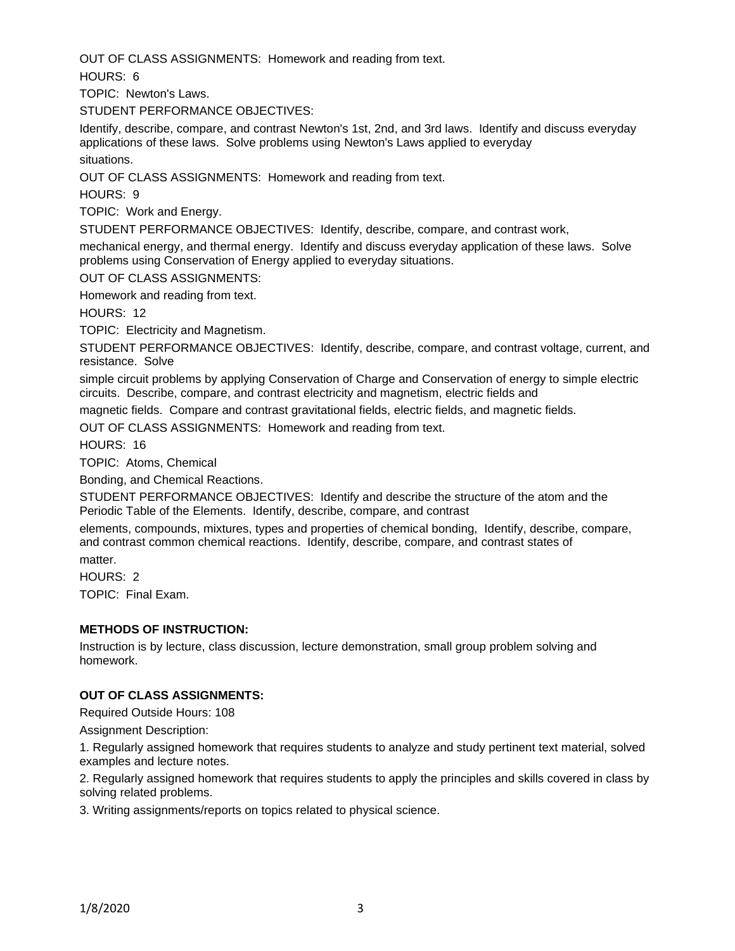OUT OF CLASS ASSIGNMENTS: Homework and reading from text.

HOURS: 6

TOPIC: Newton's Laws.

STUDENT PERFORMANCE OBJECTIVES:

Identify, describe, compare, and contrast Newton's 1st, 2nd, and 3rd laws. Identify and discuss everyday applications of these laws. Solve problems using Newton's Laws applied to everyday situations.

OUT OF CLASS ASSIGNMENTS: Homework and reading from text.

HOURS: 9

TOPIC: Work and Energy.

STUDENT PERFORMANCE OBJECTIVES: Identify, describe, compare, and contrast work,

mechanical energy, and thermal energy. Identify and discuss everyday application of these laws. Solve problems using Conservation of Energy applied to everyday situations.

OUT OF CLASS ASSIGNMENTS:

Homework and reading from text.

HOURS: 12

TOPIC: Electricity and Magnetism.

STUDENT PERFORMANCE OBJECTIVES: Identify, describe, compare, and contrast voltage, current, and resistance. Solve

simple circuit problems by applying Conservation of Charge and Conservation of energy to simple electric circuits. Describe, compare, and contrast electricity and magnetism, electric fields and

magnetic fields. Compare and contrast gravitational fields, electric fields, and magnetic fields.

OUT OF CLASS ASSIGNMENTS: Homework and reading from text.

HOURS: 16

TOPIC: Atoms, Chemical

Bonding, and Chemical Reactions.

STUDENT PERFORMANCE OBJECTIVES: Identify and describe the structure of the atom and the Periodic Table of the Elements. Identify, describe, compare, and contrast

elements, compounds, mixtures, types and properties of chemical bonding, Identify, describe, compare, and contrast common chemical reactions. Identify, describe, compare, and contrast states of matter.

HOURS: 2 TOPIC: Final Exam.

# **METHODS OF INSTRUCTION:**

Instruction is by lecture, class discussion, lecture demonstration, small group problem solving and homework.

### **OUT OF CLASS ASSIGNMENTS:**

Required Outside Hours: 108

Assignment Description:

1. Regularly assigned homework that requires students to analyze and study pertinent text material, solved examples and lecture notes.

2. Regularly assigned homework that requires students to apply the principles and skills covered in class by solving related problems.

3. Writing assignments/reports on topics related to physical science.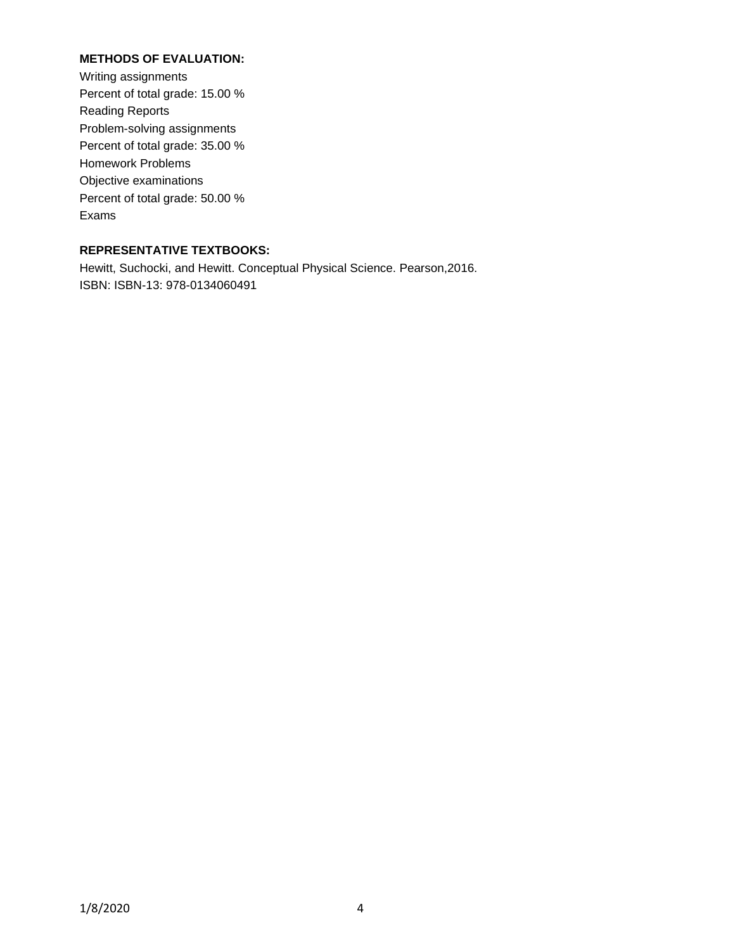# **METHODS OF EVALUATION:**

Writing assignments Percent of total grade: 15.00 % Reading Reports Problem-solving assignments Percent of total grade: 35.00 % Homework Problems Objective examinations Percent of total grade: 50.00 % Exams

# **REPRESENTATIVE TEXTBOOKS:**

Hewitt, Suchocki, and Hewitt. Conceptual Physical Science. Pearson,2016. ISBN: ISBN-13: 978-0134060491